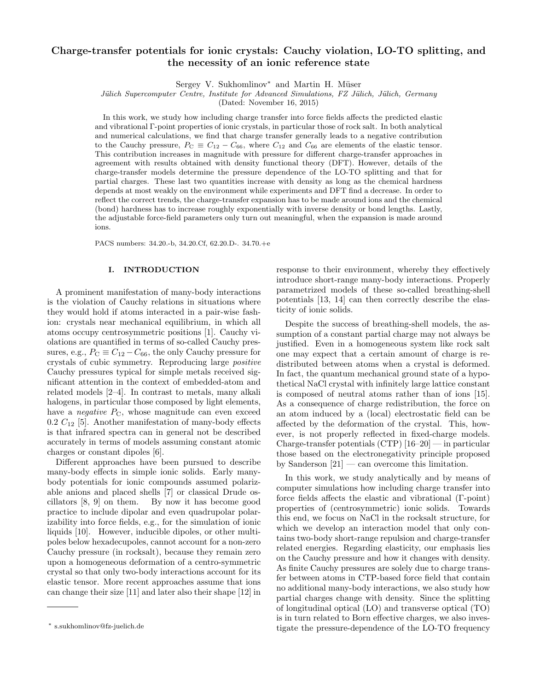# Charge-transfer potentials for ionic crystals: Cauchy violation, LO-TO splitting, and the necessity of an ionic reference state

Sergey V. Sukhomlinov<sup>\*</sup> and Martin H. Müser

Jülich Supercomputer Centre, Institute for Advanced Simulations, FZ Jülich, Jülich, Germany

(Dated: November 16, 2015)

In this work, we study how including charge transfer into force fields affects the predicted elastic and vibrational Γ-point properties of ionic crystals, in particular those of rock salt. In both analytical and numerical calculations, we find that charge transfer generally leads to a negative contribution to the Cauchy pressure,  $P_C \equiv C_{12} - C_{66}$ , where  $C_{12}$  and  $C_{66}$  are elements of the elastic tensor. This contribution increases in magnitude with pressure for different charge-transfer approaches in agreement with results obtained with density functional theory (DFT). However, details of the charge-transfer models determine the pressure dependence of the LO-TO splitting and that for partial charges. These last two quantities increase with density as long as the chemical hardness depends at most weakly on the environment while experiments and DFT find a decrease. In order to reflect the correct trends, the charge-transfer expansion has to be made around ions and the chemical (bond) hardness has to increase roughly exponentially with inverse density or bond lengths. Lastly, the adjustable force-field parameters only turn out meaningful, when the expansion is made around ions.

PACS numbers: 34.20.-b, 34.20.Cf, 62.20.D-. 34.70.+e

### I. INTRODUCTION

A prominent manifestation of many-body interactions is the violation of Cauchy relations in situations where they would hold if atoms interacted in a pair-wise fashion: crystals near mechanical equilibrium, in which all atoms occupy centrosymmetric positions [1]. Cauchy violations are quantified in terms of so-called Cauchy pressures, e.g.,  $P_C \equiv C_{12} - C_{66}$ , the only Cauchy pressure for crystals of cubic symmetry. Reproducing large positive Cauchy pressures typical for simple metals received significant attention in the context of embedded-atom and related models [2–4]. In contrast to metals, many alkali halogens, in particular those composed by light elements, have a *negative*  $P_{\rm C}$ , whose magnitude can even exceed  $0.2$   $C_{12}$  [5]. Another manifestation of many-body effects is that infrared spectra can in general not be described accurately in terms of models assuming constant atomic charges or constant dipoles [6].

Different approaches have been pursued to describe many-body effects in simple ionic solids. Early manybody potentials for ionic compounds assumed polarizable anions and placed shells [7] or classical Drude oscillators [8, 9] on them. By now it has become good practice to include dipolar and even quadrupolar polarizability into force fields, e.g., for the simulation of ionic liquids [10]. However, inducible dipoles, or other multipoles below hexadecupoles, cannot account for a non-zero Cauchy pressure (in rocksalt), because they remain zero upon a homogeneous deformation of a centro-symmetric crystal so that only two-body interactions account for its elastic tensor. More recent approaches assume that ions can change their size [11] and later also their shape [12] in

response to their environment, whereby they effectively introduce short-range many-body interactions. Properly parametrized models of these so-called breathing-shell potentials [13, 14] can then correctly describe the elasticity of ionic solids.

Despite the success of breathing-shell models, the assumption of a constant partial charge may not always be justified. Even in a homogeneous system like rock salt one may expect that a certain amount of charge is redistributed between atoms when a crystal is deformed. In fact, the quantum mechanical ground state of a hypothetical NaCl crystal with infinitely large lattice constant is composed of neutral atoms rather than of ions [15]. As a consequence of charge redistribution, the force on an atom induced by a (local) electrostatic field can be affected by the deformation of the crystal. This, however, is not properly reflected in fixed-charge models. Charge-transfer potentials  $(CTP)$  [16–20] — in particular those based on the electronegativity principle proposed by Sanderson [21] — can overcome this limitation.

In this work, we study analytically and by means of computer simulations how including charge transfer into force fields affects the elastic and vibrational (Γ-point) properties of (centrosymmetric) ionic solids. Towards this end, we focus on NaCl in the rocksalt structure, for which we develop an interaction model that only contains two-body short-range repulsion and charge-transfer related energies. Regarding elasticity, our emphasis lies on the Cauchy pressure and how it changes with density. As finite Cauchy pressures are solely due to charge transfer between atoms in CTP-based force field that contain no additional many-body interactions, we also study how partial charges change with density. Since the splitting of longitudinal optical (LO) and transverse optical (TO) is in turn related to Born effective charges, we also investigate the pressure-dependence of the LO-TO frequency

<sup>∗</sup> s.sukhomlinov@fz-juelich.de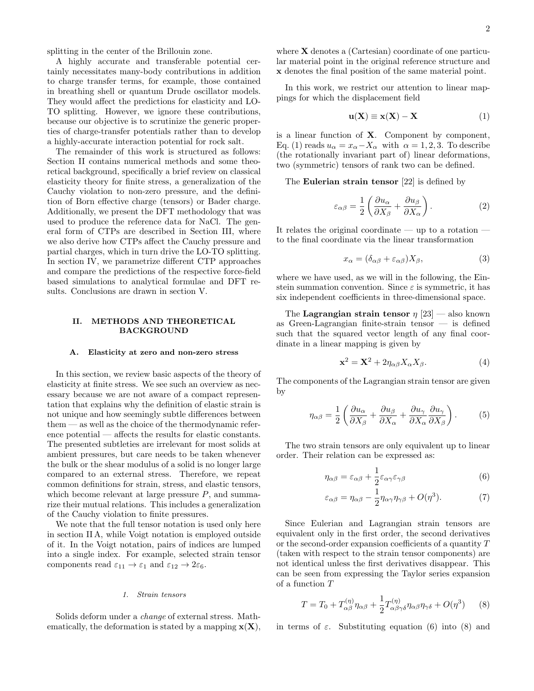splitting in the center of the Brillouin zone.

A highly accurate and transferable potential certainly necessitates many-body contributions in addition to charge transfer terms, for example, those contained in breathing shell or quantum Drude oscillator models. They would affect the predictions for elasticity and LO-TO splitting. However, we ignore these contributions, because our objective is to scrutinize the generic properties of charge-transfer potentials rather than to develop a highly-accurate interaction potential for rock salt.

The remainder of this work is structured as follows: Section II contains numerical methods and some theoretical background, specifically a brief review on classical elasticity theory for finite stress, a generalization of the Cauchy violation to non-zero pressure, and the definition of Born effective charge (tensors) or Bader charge. Additionally, we present the DFT methodology that was used to produce the reference data for NaCl. The general form of CTPs are described in Section III, where we also derive how CTPs affect the Cauchy pressure and partial charges, which in turn drive the LO-TO splitting. In section IV, we parametrize different CTP approaches and compare the predictions of the respective force-field based simulations to analytical formulae and DFT results. Conclusions are drawn in section V.

# II. METHODS AND THEORETICAL BACKGROUND

#### A. Elasticity at zero and non-zero stress

In this section, we review basic aspects of the theory of elasticity at finite stress. We see such an overview as necessary because we are not aware of a compact representation that explains why the definition of elastic strain is not unique and how seemingly subtle differences between them — as well as the choice of the thermodynamic reference potential — affects the results for elastic constants. The presented subtleties are irrelevant for most solids at ambient pressures, but care needs to be taken whenever the bulk or the shear modulus of a solid is no longer large compared to an external stress. Therefore, we repeat common definitions for strain, stress, and elastic tensors, which become relevant at large pressure  $P$ , and summarize their mutual relations. This includes a generalization of the Cauchy violation to finite pressures.

We note that the full tensor notation is used only here in section II A, while Voigt notation is employed outside of it. In the Voigt notation, pairs of indices are lumped into a single index. For example, selected strain tensor components read  $\varepsilon_{11} \rightarrow \varepsilon_1$  and  $\varepsilon_{12} \rightarrow 2\varepsilon_6$ .

### 1. Strain tensors

Solids deform under a change of external stress. Mathematically, the deformation is stated by a mapping  $\mathbf{x}(\mathbf{X})$ ,

where **X** denotes a (Cartesian) coordinate of one particular material point in the original reference structure and x denotes the final position of the same material point.

In this work, we restrict our attention to linear mappings for which the displacement field

$$
\mathbf{u}(\mathbf{X}) \equiv \mathbf{x}(\mathbf{X}) - \mathbf{X} \tag{1}
$$

is a linear function of  $X$ . Component by component, Eq. (1) reads  $u_{\alpha} = x_{\alpha} - X_{\alpha}$  with  $\alpha = 1, 2, 3$ . To describe (the rotationally invariant part of) linear deformations, two (symmetric) tensors of rank two can be defined.

The Eulerian strain tensor [22] is defined by

$$
\varepsilon_{\alpha\beta} = \frac{1}{2} \left( \frac{\partial u_{\alpha}}{\partial X_{\beta}} + \frac{\partial u_{\beta}}{\partial X_{\alpha}} \right). \tag{2}
$$

It relates the original coordinate — up to a rotation to the final coordinate via the linear transformation

$$
x_{\alpha} = (\delta_{\alpha\beta} + \varepsilon_{\alpha\beta})X_{\beta},\tag{3}
$$

where we have used, as we will in the following, the Einstein summation convention. Since  $\varepsilon$  is symmetric, it has six independent coefficients in three-dimensional space.

The Lagrangian strain tensor  $\eta$  [23] — also known as Green-Lagrangian finite-strain tensor  $\overline{\phantom{a}}$  is defined such that the squared vector length of any final coordinate in a linear mapping is given by

$$
\mathbf{x}^2 = \mathbf{X}^2 + 2\eta_{\alpha\beta} X_{\alpha} X_{\beta}.\tag{4}
$$

The components of the Lagrangian strain tensor are given by

$$
\eta_{\alpha\beta} = \frac{1}{2} \left( \frac{\partial u_{\alpha}}{\partial X_{\beta}} + \frac{\partial u_{\beta}}{\partial X_{\alpha}} + \frac{\partial u_{\gamma}}{\partial X_{\alpha}} \frac{\partial u_{\gamma}}{\partial X_{\beta}} \right). \tag{5}
$$

The two strain tensors are only equivalent up to linear order. Their relation can be expressed as:

$$
\eta_{\alpha\beta} = \varepsilon_{\alpha\beta} + \frac{1}{2} \varepsilon_{\alpha\gamma} \varepsilon_{\gamma\beta} \tag{6}
$$

$$
\varepsilon_{\alpha\beta} = \eta_{\alpha\beta} - \frac{1}{2} \eta_{\alpha\gamma} \eta_{\gamma\beta} + O(\eta^3). \tag{7}
$$

Since Eulerian and Lagrangian strain tensors are equivalent only in the first order, the second derivatives or the second-order expansion coefficients of a quantity T (taken with respect to the strain tensor components) are not identical unless the first derivatives disappear. This can be seen from expressing the Taylor series expansion of a function T

$$
T = T_0 + T_{\alpha\beta}^{(\eta)} \eta_{\alpha\beta} + \frac{1}{2} T_{\alpha\beta\gamma\delta}^{(\eta)} \eta_{\alpha\beta} \eta_{\gamma\delta} + O(\eta^3)
$$
 (8)

in terms of  $\varepsilon$ . Substituting equation (6) into (8) and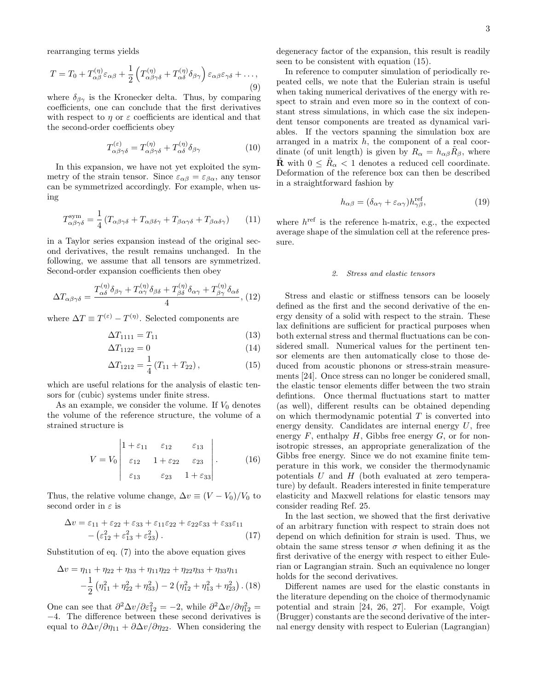rearranging terms yields

$$
T = T_0 + T_{\alpha\beta}^{(\eta)} \varepsilon_{\alpha\beta} + \frac{1}{2} \left( T_{\alpha\beta\gamma\delta}^{(\eta)} + T_{\alpha\delta}^{(\eta)} \delta_{\beta\gamma} \right) \varepsilon_{\alpha\beta} \varepsilon_{\gamma\delta} + \dots,
$$
\n(9)

where  $\delta_{\beta\gamma}$  is the Kronecker delta. Thus, by comparing coefficients, one can conclude that the first derivatives with respect to  $\eta$  or  $\varepsilon$  coefficients are identical and that the second-order coefficients obey

$$
T^{(\varepsilon)}_{\alpha\beta\gamma\delta} = T^{(\eta)}_{\alpha\beta\gamma\delta} + T^{(\eta)}_{\alpha\delta}\delta_{\beta\gamma}
$$
 (10)

In this expansion, we have not yet exploited the symmetry of the strain tensor. Since  $\varepsilon_{\alpha\beta} = \varepsilon_{\beta\alpha}$ , any tensor can be symmetrized accordingly. For example, when using

$$
T_{\alpha\beta\gamma\delta}^{\text{sym}} = \frac{1}{4} \left( T_{\alpha\beta\gamma\delta} + T_{\alpha\beta\delta\gamma} + T_{\beta\alpha\gamma\delta} + T_{\beta\alpha\delta\gamma} \right) \tag{11}
$$

in a Taylor series expansion instead of the original second derivatives, the result remains unchanged. In the following, we assume that all tensors are symmetrized. Second-order expansion coefficients then obey

$$
\Delta T_{\alpha\beta\gamma\delta} = \frac{T_{\alpha\delta}^{(\eta)}\delta_{\beta\gamma} + T_{\alpha\gamma}^{(\eta)}\delta_{\beta\delta} + T_{\beta\delta}^{(\eta)}\delta_{\alpha\gamma} + T_{\beta\gamma}^{(\eta)}\delta_{\alpha\delta}}{4}, (12)
$$

where  $\Delta T \equiv T^{(\varepsilon)} - T^{(\eta)}$ . Selected components are

$$
\Delta T_{1111} = T_{11} \tag{13}
$$

$$
\Delta T_{1122} = 0 \tag{14}
$$

$$
\Delta T_{1212} = \frac{1}{4} \left( T_{11} + T_{22} \right), \tag{15}
$$

which are useful relations for the analysis of elastic tensors for (cubic) systems under finite stress.

As an example, we consider the volume. If  $V_0$  denotes the volume of the reference structure, the volume of a strained structure is

$$
V = V_0 \begin{vmatrix} 1 + \varepsilon_{11} & \varepsilon_{12} & \varepsilon_{13} \\ \varepsilon_{12} & 1 + \varepsilon_{22} & \varepsilon_{23} \\ \varepsilon_{13} & \varepsilon_{23} & 1 + \varepsilon_{33} \end{vmatrix} .
$$
 (16)

Thus, the relative volume change,  $\Delta v \equiv (V - V_0)/V_0$  to second order in  $\varepsilon$  is

$$
\Delta v = \varepsilon_{11} + \varepsilon_{22} + \varepsilon_{33} + \varepsilon_{11}\varepsilon_{22} + \varepsilon_{22}\varepsilon_{33} + \varepsilon_{33}\varepsilon_{11} - \left(\varepsilon_{12}^2 + \varepsilon_{13}^2 + \varepsilon_{23}^2\right). \tag{17}
$$

Substitution of eq. (7) into the above equation gives

$$
\Delta v = \eta_{11} + \eta_{22} + \eta_{33} + \eta_{11}\eta_{22} + \eta_{22}\eta_{33} + \eta_{33}\eta_{11}
$$

$$
-\frac{1}{2}(\eta_{11}^2 + \eta_{22}^2 + \eta_{33}^2) - 2(\eta_{12}^2 + \eta_{13}^2 + \eta_{23}^2) . (18)
$$

One can see that  $\partial^2 \Delta v / \partial \epsilon_{12}^2 = -2$ , while  $\partial^2 \Delta v / \partial \eta_{12}^2 =$ −4. The difference between these second derivatives is equal to  $\partial \Delta v / \partial \eta_{11} + \partial \Delta v / \partial \eta_{22}$ . When considering the degeneracy factor of the expansion, this result is readily seen to be consistent with equation (15).

In reference to computer simulation of periodically repeated cells, we note that the Eulerian strain is useful when taking numerical derivatives of the energy with respect to strain and even more so in the context of constant stress simulations, in which case the six independent tensor components are treated as dynamical variables. If the vectors spanning the simulation box are arranged in a matrix  $h$ , the component of a real coordinate (of unit length) is given by  $R_{\alpha} = h_{\alpha\beta} R_{\beta}$ , where  $\tilde{\mathbf{R}}$  with  $0 \leq \tilde{R}_{\alpha} < 1$  denotes a reduced cell coordinate. Deformation of the reference box can then be described in a straightforward fashion by

$$
h_{\alpha\beta} = (\delta_{\alpha\gamma} + \varepsilon_{\alpha\gamma})h_{\gamma\beta}^{\text{ref}},\tag{19}
$$

where  $h^{\text{ref}}$  is the reference h-matrix, e.g., the expected average shape of the simulation cell at the reference pressure.

#### 2. Stress and elastic tensors

Stress and elastic or stiffness tensors can be loosely defined as the first and the second derivative of the energy density of a solid with respect to the strain. These lax definitions are sufficient for practical purposes when both external stress and thermal fluctuations can be considered small. Numerical values for the pertinent tensor elements are then automatically close to those deduced from acoustic phonons or stress-strain measurements [24]. Once stress can no longer be conidered small, the elastic tensor elements differ between the two strain defintions. Once thermal fluctuations start to matter (as well), different results can be obtained depending on which thermodynamic potential  $T$  is converted into energy density. Candidates are internal energy  $U$ , free energy  $F$ , enthalpy  $H$ , Gibbs free energy  $G$ , or for nonisotropic stresses, an appropriate generalization of the Gibbs free energy. Since we do not examine finite temperature in this work, we consider the thermodynamic potentials  $U$  and  $H$  (both evaluated at zero temperature) by default. Readers interested in finite temperature elasticity and Maxwell relations for elastic tensors may consider reading Ref. 25.

In the last section, we showed that the first derivative of an arbitrary function with respect to strain does not depend on which definition for strain is used. Thus, we obtain the same stress tensor  $\sigma$  when defining it as the first derivative of the energy with respect to either Eulerian or Lagrangian strain. Such an equivalence no longer holds for the second derivatives.

Different names are used for the elastic constants in the literature depending on the choice of thermodynamic potential and strain [24, 26, 27]. For example, Voigt (Brugger) constants are the second derivative of the internal energy density with respect to Eulerian (Lagrangian)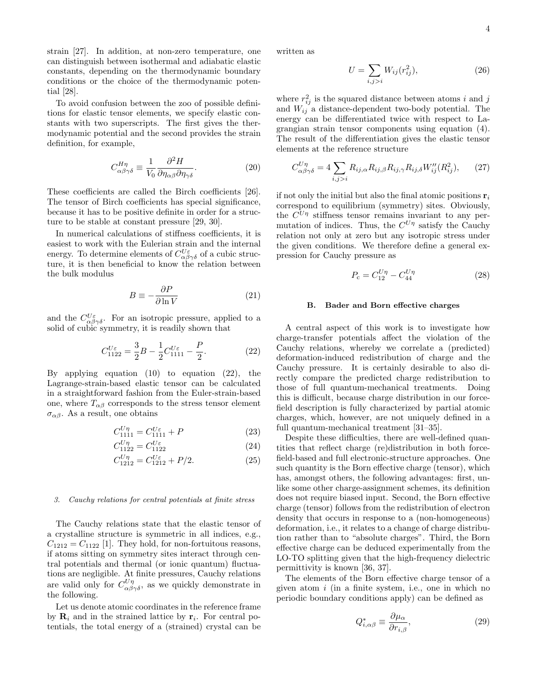strain [27]. In addition, at non-zero temperature, one can distinguish between isothermal and adiabatic elastic constants, depending on the thermodynamic boundary conditions or the choice of the thermodynamic potential [28].

To avoid confusion between the zoo of possible definitions for elastic tensor elements, we specify elastic constants with two superscripts. The first gives the thermodynamic potential and the second provides the strain definition, for example,

$$
C_{\alpha\beta\gamma\delta}^{H\eta} \equiv \frac{1}{V_0} \frac{\partial^2 H}{\partial \eta_{\alpha\beta} \partial \eta_{\gamma\delta}}.\tag{20}
$$

These coefficients are called the Birch coefficients [26]. The tensor of Birch coefficients has special significance, because it has to be positive definite in order for a structure to be stable at constant pressure [29, 30].

In numerical calculations of stiffness coefficients, it is easiest to work with the Eulerian strain and the internal energy. To determine elements of  $C^{U\varepsilon}_{\alpha\beta\gamma\delta}$  of a cubic structure, it is then beneficial to know the relation between the bulk modulus

$$
B \equiv -\frac{\partial P}{\partial \ln V} \tag{21}
$$

and the  $C^{U\varepsilon}_{\alpha\beta\gamma\delta}$ . For an isotropic pressure, applied to a solid of cubic symmetry, it is readily shown that

$$
C_{1122}^{U\varepsilon} = \frac{3}{2}B - \frac{1}{2}C_{1111}^{U\varepsilon} - \frac{P}{2}.
$$
 (22)

By applying equation  $(10)$  to equation  $(22)$ , the Lagrange-strain-based elastic tensor can be calculated in a straightforward fashion from the Euler-strain-based one, where  $T_{\alpha\beta}$  corresponds to the stress tensor element  $\sigma_{\alpha\beta}$ . As a result, one obtains

$$
C_{1111}^{U\eta} = C_{1111}^{U\varepsilon} + P \tag{23}
$$

$$
C_{1122}^{U\eta} = C_{1122}^{U\varepsilon} \tag{24}
$$

$$
C_{1212}^{U\eta} = C_{1212}^{U\varepsilon} + P/2.
$$
 (25)

#### 3. Cauchy relations for central potentials at finite stress

The Cauchy relations state that the elastic tensor of a crystalline structure is symmetric in all indices, e.g.,  $C_{1212} = C_{1122}$  [1]. They hold, for non-fortuitous reasons, if atoms sitting on symmetry sites interact through central potentials and thermal (or ionic quantum) fluctuations are negligible. At finite pressures, Cauchy relations are valid only for  $C^{U\eta}_{\alpha\beta\gamma\delta}$ , as we quickly demonstrate in the following.

Let us denote atomic coordinates in the reference frame by  $\mathbf{R}_i$  and in the strained lattice by  $\mathbf{r}_i$ . For central potentials, the total energy of a (strained) crystal can be written as

$$
U = \sum_{i,j>i} W_{ij}(r_{ij}^2),
$$
 (26)

where  $r_{ij}^2$  is the squared distance between atoms i and j and  $W_{ij}$  a distance-dependent two-body potential. The energy can be differentiated twice with respect to Lagrangian strain tensor components using equation (4). The result of the differentiation gives the elastic tensor elements at the reference structure

$$
C_{\alpha\beta\gamma\delta}^{U\eta} = 4 \sum_{i,j>i} R_{ij,\alpha} R_{ij,\beta} R_{ij,\gamma} R_{ij,\delta} W_{ij}^{\prime\prime}(R_{ij}^2), \qquad (27)
$$

if not only the initial but also the final atomic positions  $r_i$ correspond to equilibrium (symmetry) sites. Obviously, the  $C^{U\eta}$  stiffness tensor remains invariant to any permutation of indices. Thus, the  $C^{U\eta}$  satisfy the Cauchy relation not only at zero but any isotropic stress under the given conditions. We therefore define a general expression for Cauchy pressure as

$$
P_{\rm c} = C_{12}^{U\eta} - C_{44}^{U\eta} \tag{28}
$$

#### B. Bader and Born effective charges

A central aspect of this work is to investigate how charge-transfer potentials affect the violation of the Cauchy relations, whereby we correlate a (predicted) deformation-induced redistribution of charge and the Cauchy pressure. It is certainly desirable to also directly compare the predicted charge redistribution to those of full quantum-mechanical treatments. Doing this is difficult, because charge distribution in our forcefield description is fully characterized by partial atomic charges, which, however, are not uniquely defined in a full quantum-mechanical treatment [31–35].

Despite these difficulties, there are well-defined quantities that reflect charge (re)distribution in both forcefield-based and full electronic-structure approaches. One such quantity is the Born effective charge (tensor), which has, amongst others, the following advantages: first, unlike some other charge-assignment schemes, its definition does not require biased input. Second, the Born effective charge (tensor) follows from the redistribution of electron density that occurs in response to a (non-homogeneous) deformation, i.e., it relates to a change of charge distribution rather than to "absolute charges". Third, the Born effective charge can be deduced experimentally from the LO-TO splitting given that the high-frequency dielectric permittivity is known [36, 37].

The elements of the Born effective charge tensor of a given atom  $i$  (in a finite system, i.e., one in which no periodic boundary conditions apply) can be defined as

$$
Q_{i,\alpha\beta}^* \equiv \frac{\partial \mu_\alpha}{\partial r_{i,\beta}},\tag{29}
$$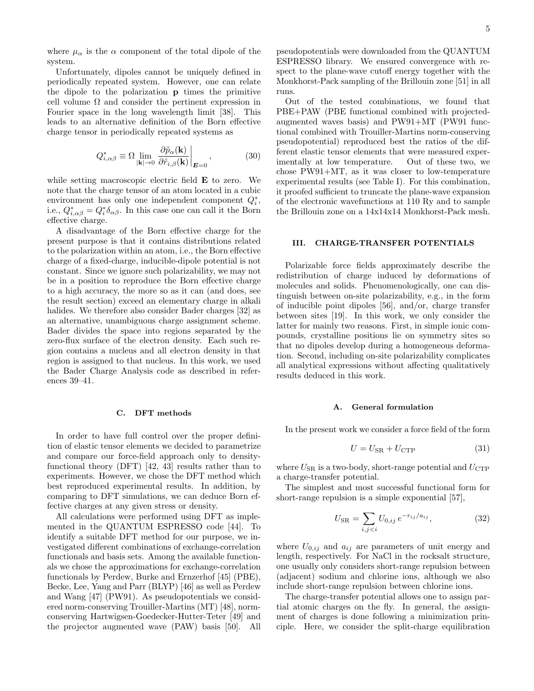where  $\mu_{\alpha}$  is the  $\alpha$  component of the total dipole of the system.

Unfortunately, dipoles cannot be uniquely defined in periodically repeated system. However, one can relate the dipole to the polarization p times the primitive cell volume  $\Omega$  and consider the pertinent expression in Fourier space in the long wavelength limit [38]. This leads to an alternative definition of the Born effective charge tensor in periodically repeated systems as

$$
Q_{i,\alpha\beta}^* \equiv \Omega \lim_{|\mathbf{k}| \to 0} \left. \frac{\partial \tilde{p}_\alpha(\mathbf{k})}{\partial \tilde{r}_{i,\beta}(\mathbf{k})} \right|_{\mathbf{E}=0},\tag{30}
$$

while setting macroscopic electric field **E** to zero. We note that the charge tensor of an atom located in a cubic environment has only one independent component  $Q_i^*$ , i.e.,  $Q_{i,\alpha\beta}^* = Q_i^* \delta_{\alpha\beta}$ . In this case one can call it the Born effective charge.

A disadvantage of the Born effective charge for the present purpose is that it contains distributions related to the polarization within an atom, i.e., the Born effective charge of a fixed-charge, inducible-dipole potential is not constant. Since we ignore such polarizability, we may not be in a position to reproduce the Born effective charge to a high accuracy, the more so as it can (and does, see the result section) exceed an elementary charge in alkali halides. We therefore also consider Bader charges [32] as an alternative, unambiguous charge assignment scheme. Bader divides the space into regions separated by the zero-flux surface of the electron density. Each such region contains a nucleus and all electron density in that region is assigned to that nucleus. In this work, we used the Bader Charge Analysis code as described in references 39–41.

### C. DFT methods

In order to have full control over the proper definition of elastic tensor elements we decided to parametrize and compare our force-field approach only to densityfunctional theory (DFT) [42, 43] results rather than to experiments. However, we chose the DFT method which best reproduced experimental results. In addition, by comparing to DFT simulations, we can deduce Born effective charges at any given stress or density.

All calculations were performed using DFT as implemented in the QUANTUM ESPRESSO code [44]. To identify a suitable DFT method for our purpose, we investigated different combinations of exchange-correlation functionals and basis sets. Among the available functionals we chose the approximations for exchange-correlation functionals by Perdew, Burke and Ernzerhof [45] (PBE), Becke, Lee, Yang and Parr (BLYP) [46] as well as Perdew and Wang [47] (PW91). As pseudopotentials we considered norm-conserving Trouiller-Martins (MT) [48], normconserving Hartwigsen-Goedecker-Hutter-Teter [49] and the projector augmented wave (PAW) basis [50]. All

pseudopotentials were downloaded from the QUANTUM ESPRESSO library. We ensured convergence with respect to the plane-wave cutoff energy together with the Monkhorst-Pack sampling of the Brillouin zone [51] in all runs.

Out of the tested combinations, we found that PBE+PAW (PBE functional combined with projectedaugmented waves basis) and PW91+MT (PW91 functional combined with Trouiller-Martins norm-conserving pseudopotential) reproduced best the ratios of the different elastic tensor elements that were measured experimentally at low temperature. Out of these two, we chose PW91+MT, as it was closer to low-temperature experimental results (see Table I). For this combination, it proofed sufficient to truncate the plane-wave expansion of the electronic wavefunctions at 110 Ry and to sample the Brillouin zone on a 14x14x14 Monkhorst-Pack mesh.

### III. CHARGE-TRANSFER POTENTIALS

Polarizable force fields approximately describe the redistribution of charge induced by deformations of molecules and solids. Phenomenologically, one can distinguish between on-site polarizability, e.g., in the form of inducible point dipoles [56], and/or, charge transfer between sites [19]. In this work, we only consider the latter for mainly two reasons. First, in simple ionic compounds, crystalline positions lie on symmetry sites so that no dipoles develop during a homogeneous deformation. Second, including on-site polarizability complicates all analytical expressions without affecting qualitatively results deduced in this work.

#### A. General formulation

In the present work we consider a force field of the form

$$
U = U_{\rm SR} + U_{\rm CTP} \tag{31}
$$

where  $U_{\rm SR}$  is a two-body, short-range potential and  $U_{\rm CTP}$ a charge-transfer potential.

The simplest and most successful functional form for short-range repulsion is a simple exponential [57],

$$
U_{\rm SR} = \sum_{i,j
$$

where  $U_{0,ij}$  and  $a_{ij}$  are parameters of unit energy and length, respectively. For NaCl in the rocksalt structure, one usually only considers short-range repulsion between (adjacent) sodium and chlorine ions, although we also include short-range repulsion between chlorine ions.

The charge-transfer potential allows one to assign partial atomic charges on the fly. In general, the assignment of charges is done following a minimization principle. Here, we consider the split-charge equilibration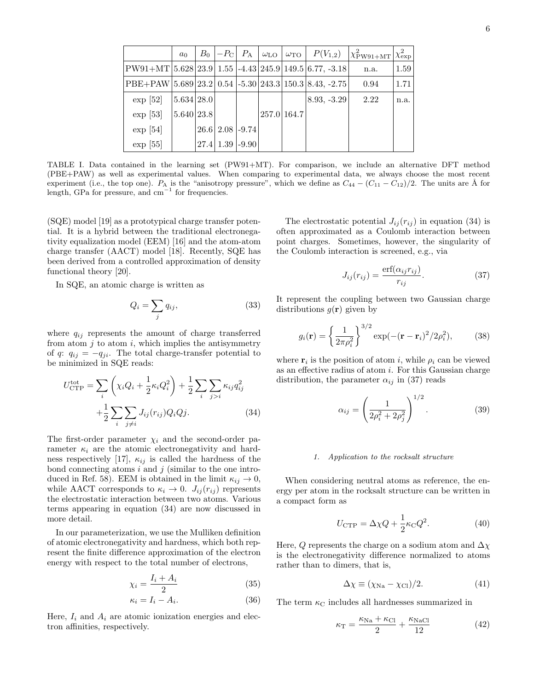|                                                           | $a_0$      |  |                       |             |                 | $B_0$ $\vert -P_{\rm C} \vert$ $P_{\rm A}$ $\vert \omega_{\rm LO} \vert \omega_{\rm TO} \vert$ $P(V_{1,2})$ $\vert \chi^2_{\rm PW91+MT} \vert$ | $\chi^2_{\rm exp}$ |
|-----------------------------------------------------------|------------|--|-----------------------|-------------|-----------------|------------------------------------------------------------------------------------------------------------------------------------------------|--------------------|
| $PW91+MT 5.628 23.9 1.55  -4.43 245.9 149.5 6.77, -3.18 $ |            |  |                       |             |                 | n.a.                                                                                                                                           | 1.59               |
| $ PBE+PAW 5.689 23.2 0.54 -5.30 243.3 150.3 8.43,-2.75 $  |            |  |                       |             |                 | 0.94                                                                                                                                           | 1.71               |
| $\exp$ [52]                                               | 5.634 28.0 |  |                       |             | $ 8.93, -3.29 $ | 2.22                                                                                                                                           | n.a.               |
| $\exp$ [53]                                               | 5.640 23.8 |  |                       | 257.0 164.7 |                 |                                                                                                                                                |                    |
| $\exp$ [54]                                               |            |  | $26.6 2.08 $ -9.74    |             |                 |                                                                                                                                                |                    |
| $\exp$ [55]                                               |            |  | $27.4$   1.39   -9.90 |             |                 |                                                                                                                                                |                    |

TABLE I. Data contained in the learning set (PW91+MT). For comparison, we include an alternative DFT method (PBE+PAW) as well as experimental values. When comparing to experimental data, we always choose the most recent experiment (i.e., the top one). P<sub>A</sub> is the "anisotropy pressure", which we define as  $C_{44} - (C_{11} - C_{12})/2$ . The units are Å for length, GPa for pressure, and  $cm^{-1}$  for frequencies.

(SQE) model [19] as a prototypical charge transfer potential. It is a hybrid between the traditional electronegativity equalization model (EEM) [16] and the atom-atom charge transfer (AACT) model [18]. Recently, SQE has been derived from a controlled approximation of density functional theory [20].

In SQE, an atomic charge is written as

$$
Q_i = \sum_j q_{ij},\tag{33}
$$

where  $q_{ij}$  represents the amount of charge transferred from atom  $j$  to atom  $i$ , which implies the antisymmetry of q:  $q_{ij} = -q_{ji}$ . The total charge-transfer potential to be minimized in SQE reads:

$$
U_{\text{CTP}}^{\text{tot}} = \sum_{i} \left( \chi_i Q_i + \frac{1}{2} \kappa_i Q_i^2 \right) + \frac{1}{2} \sum_{i} \sum_{j>i} \kappa_{ij} q_{ij}^2 + \frac{1}{2} \sum_{i} \sum_{j \neq i} J_{ij}(r_{ij}) Q_i Q j. \tag{34}
$$

The first-order parameter  $\chi_i$  and the second-order parameter  $\kappa_i$  are the atomic electronegativity and hardness respectively [17],  $\kappa_{ij}$  is called the hardness of the bond connecting atoms  $i$  and  $j$  (similar to the one introduced in Ref. 58). EEM is obtained in the limit  $\kappa_{ij} \to 0$ , while AACT corresponds to  $\kappa_i \to 0$ .  $J_{ij}(r_{ij})$  represents the electrostatic interaction between two atoms. Various terms appearing in equation (34) are now discussed in more detail.

In our parameterization, we use the Mulliken definition of atomic electronegativity and hardness, which both represent the finite difference approximation of the electron energy with respect to the total number of electrons,

$$
\chi_i = \frac{I_i + A_i}{2} \tag{35}
$$

$$
\kappa_i = I_i - A_i. \tag{36}
$$

Here,  $I_i$  and  $A_i$  are atomic ionization energies and electron affinities, respectively.

The electrostatic potential  $J_{ij}(r_{ij})$  in equation (34) is often approximated as a Coulomb interaction between point charges. Sometimes, however, the singularity of the Coulomb interaction is screened, e.g., via

$$
J_{ij}(r_{ij}) = \frac{\text{erf}(\alpha_{ij}r_{ij})}{r_{ij}}.
$$
\n(37)

It represent the coupling between two Gaussian charge distributions  $g(\mathbf{r})$  given by

$$
g_i(\mathbf{r}) = \left\{ \frac{1}{2\pi \rho_i^2} \right\}^{3/2} \exp(-(\mathbf{r} - \mathbf{r}_i)^2 / 2\rho_i^2), \quad (38)
$$

where  $\mathbf{r}_i$  is the position of atom i, while  $\rho_i$  can be viewed as an effective radius of atom i. For this Gaussian charge distribution, the parameter  $\alpha_{ij}$  in (37) reads

$$
\alpha_{ij} = \left(\frac{1}{2\rho_i^2 + 2\rho_j^2}\right)^{1/2}.\tag{39}
$$

#### 1. Application to the rocksalt structure

When considering neutral atoms as reference, the energy per atom in the rocksalt structure can be written in a compact form as

$$
U_{\rm CTP} = \Delta \chi Q + \frac{1}{2} \kappa_{\rm C} Q^2.
$$
 (40)

Here, Q represents the charge on a sodium atom and  $\Delta \chi$ is the electronegativity difference normalized to atoms rather than to dimers, that is,

$$
\Delta \chi \equiv (\chi_{\text{Na}} - \chi_{\text{Cl}})/2. \tag{41}
$$

The term  $\kappa_{\rm C}$  includes all hardnesses summarized in

$$
\kappa_{\rm T} = \frac{\kappa_{\rm Na} + \kappa_{\rm Cl}}{2} + \frac{\kappa_{\rm NaCl}}{12} \tag{42}
$$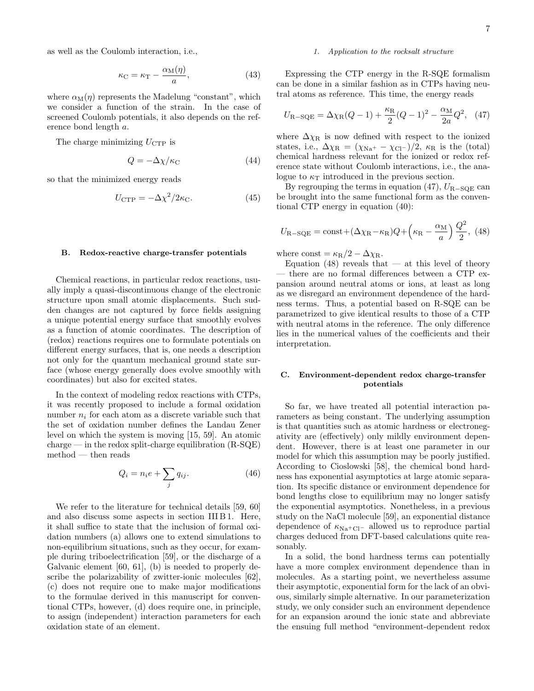as well as the Coulomb interaction, i.e.,

$$
\kappa_{\rm C} = \kappa_{\rm T} - \frac{\alpha_{\rm M}(\eta)}{a},\tag{43}
$$

where  $\alpha_M(\eta)$  represents the Madelung "constant", which we consider a function of the strain. In the case of screened Coulomb potentials, it also depends on the reference bond length a.

The charge minimizing  $U_{\text{CTP}}$  is

$$
Q = -\Delta \chi / \kappa_{\rm C} \tag{44}
$$

so that the minimized energy reads

$$
U_{\rm CTP} = -\Delta \chi^2 / 2\kappa_{\rm C}.\tag{45}
$$

#### B. Redox-reactive charge-transfer potentials

Chemical reactions, in particular redox reactions, usually imply a quasi-discontinuous change of the electronic structure upon small atomic displacements. Such sudden changes are not captured by force fields assigning a unique potential energy surface that smoothly evolves as a function of atomic coordinates. The description of (redox) reactions requires one to formulate potentials on different energy surfaces, that is, one needs a description not only for the quantum mechanical ground state surface (whose energy generally does evolve smoothly with coordinates) but also for excited states.

In the context of modeling redox reactions with CTPs, it was recently proposed to include a formal oxidation number  $n_i$  for each atom as a discrete variable such that the set of oxidation number defines the Landau Zener level on which the system is moving [15, 59]. An atomic charge — in the redox split-charge equilibration (R-SQE) method — then reads

$$
Q_i = n_i e + \sum_j q_{ij}.\tag{46}
$$

We refer to the literature for technical details [59, 60] and also discuss some aspects in section III B 1. Here, it shall suffice to state that the inclusion of formal oxidation numbers (a) allows one to extend simulations to non-equilibrium situations, such as they occur, for example during triboelectrification [59], or the discharge of a Galvanic element [60, 61], (b) is needed to properly describe the polarizability of zwitter-ionic molecules [62], (c) does not require one to make major modifications to the formulae derived in this manuscript for conventional CTPs, however, (d) does require one, in principle, to assign (independent) interaction parameters for each oxidation state of an element.

### 1. Application to the rocksalt structure

Expressing the CTP energy in the R-SQE formalism can be done in a similar fashion as in CTPs having neutral atoms as reference. This time, the energy reads

$$
U_{\rm R-SQE} = \Delta \chi_{\rm R}(Q-1) + \frac{\kappa_{\rm R}}{2}(Q-1)^2 - \frac{\alpha_{\rm M}}{2a}Q^2, \tag{47}
$$

where  $\Delta \chi_R$  is now defined with respect to the ionized states, i.e.,  $\Delta \chi_{\text{R}} = (\chi_{\text{Na}^+} - \chi_{\text{Cl}^-})/2$ ,  $\kappa_{\text{R}}$  is the (total) chemical hardness relevant for the ionized or redox reference state without Coulomb interactions, i.e., the analogue to  $\kappa_T$  introduced in the previous section.

By regrouping the terms in equation (47),  $U_{\text{R-SQE}}$  can be brought into the same functional form as the conventional CTP energy in equation (40):

$$
U_{\rm R-SQE} = \text{const} + (\Delta \chi_{\rm R} - \kappa_{\rm R})Q + \left(\kappa_{\rm R} - \frac{\alpha_{\rm M}}{a}\right)\frac{Q^2}{2},
$$
 (48)

where const =  $\kappa_{\rm R}/2 - \Delta \chi_{\rm R}$ .

Equation  $(48)$  reveals that — at this level of theory — there are no formal differences between a CTP expansion around neutral atoms or ions, at least as long as we disregard an environment dependence of the hardness terms. Thus, a potential based on R-SQE can be parametrized to give identical results to those of a CTP with neutral atoms in the reference. The only difference lies in the numerical values of the coefficients and their interpretation.

### C. Environment-dependent redox charge-transfer potentials

So far, we have treated all potential interaction parameters as being constant. The underlying assumption is that quantities such as atomic hardness or electronegativity are (effectively) only mildly environment dependent. However, there is at least one parameter in our model for which this assumption may be poorly justified. According to Cioslowski [58], the chemical bond hardness has exponential asymptotics at large atomic separation. Its specific distance or environment dependence for bond lengths close to equilibrium may no longer satisfy the exponential asymptotics. Nonetheless, in a previous study on the NaCl molecule [59], an exponential distance dependence of  $\kappa_{\text{Na}^+\text{Cl}^-}$  allowed us to reproduce partial charges deduced from DFT-based calculations quite reasonably.

In a solid, the bond hardness terms can potentially have a more complex environment dependence than in molecules. As a starting point, we nevertheless assume their asymptotic, exponential form for the lack of an obvious, similarly simple alternative. In our parameterization study, we only consider such an environment dependence for an expansion around the ionic state and abbreviate the ensuing full method "environment-dependent redox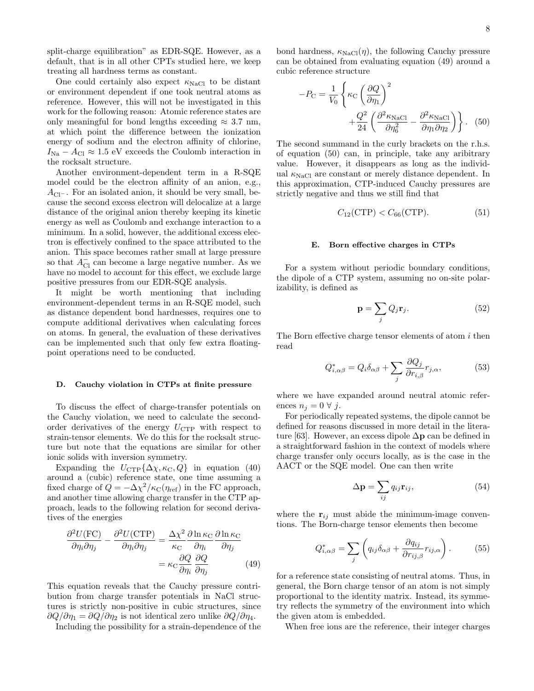split-charge equilibration" as EDR-SQE. However, as a default, that is in all other CPTs studied here, we keep treating all hardness terms as constant.

One could certainly also expect  $\kappa_{\text{NaCl}}$  to be distant or environment dependent if one took neutral atoms as reference. However, this will not be investigated in this work for the following reason: Atomic reference states are only meaningful for bond lengths exceeding  $\approx 3.7$  nm, at which point the difference between the ionization energy of sodium and the electron affinity of chlorine,  $I_{\text{Na}} - A_{\text{Cl}} \approx 1.5$  eV exceeds the Coulomb interaction in the rocksalt structure.

Another environment-dependent term in a R-SQE model could be the electron affinity of an anion, e.g.,  $A_{\text{Cl}^-}$ . For an isolated anion, it should be very small, because the second excess electron will delocalize at a large distance of the original anion thereby keeping its kinetic energy as well as Coulomb and exchange interaction to a minimum. In a solid, however, the additional excess electron is effectively confined to the space attributed to the anion. This space becomes rather small at large pressure so that  $A_{\text{Cl}}^-$  can become a large negative number. As we have no model to account for this effect, we exclude large positive pressures from our EDR-SQE analysis.

It might be worth mentioning that including environment-dependent terms in an R-SQE model, such as distance dependent bond hardnesses, requires one to compute additional derivatives when calculating forces on atoms. In general, the evaluation of these derivatives can be implemented such that only few extra floatingpoint operations need to be conducted.

### D. Cauchy violation in CTPs at finite pressure

To discuss the effect of charge-transfer potentials on the Cauchy violation, we need to calculate the secondorder derivatives of the energy  $U_{\text{CTP}}$  with respect to strain-tensor elements. We do this for the rocksalt structure but note that the equations are similar for other ionic solids with inversion symmetry.

Expanding the  $U_{\text{CTP}}\{\Delta \chi, \kappa_{\text{C}}, Q\}$  in equation (40) around a (cubic) reference state, one time assuming a fixed charge of  $Q = -\Delta \chi^2 / \kappa_C(\eta_{ref})$  in the FC approach, and another time allowing charge transfer in the CTP approach, leads to the following relation for second derivatives of the energies

$$
\frac{\partial^2 U(\text{FC})}{\partial \eta_i \partial \eta_j} - \frac{\partial^2 U(\text{CTP})}{\partial \eta_i \partial \eta_j} = \frac{\Delta \chi^2}{\kappa_C} \frac{\partial \ln \kappa_C}{\partial \eta_i} \frac{\partial \ln \kappa_C}{\partial \eta_j}
$$

$$
= \kappa_C \frac{\partial Q}{\partial \eta_i} \frac{\partial Q}{\partial \eta_j} \tag{49}
$$

This equation reveals that the Cauchy pressure contribution from charge transfer potentials in NaCl structures is strictly non-positive in cubic structures, since  $\partial Q/\partial \eta_1 = \partial Q/\partial \eta_2$  is not identical zero unlike  $\partial Q/\partial \eta_4$ .

Including the possibility for a strain-dependence of the

bond hardness,  $\kappa_{\text{NaCl}}(\eta)$ , the following Cauchy pressure can be obtained from evaluating equation (49) around a cubic reference structure

$$
-P_{\rm C} = \frac{1}{V_0} \left\{ \kappa_{\rm C} \left( \frac{\partial Q}{\partial \eta_1} \right)^2 + \frac{Q^2}{24} \left( \frac{\partial^2 \kappa_{\rm NaCl}}{\partial \eta_6^2} - \frac{\partial^2 \kappa_{\rm NaCl}}{\partial \eta_1 \partial \eta_2} \right) \right\}. \quad (50)
$$

The second summand in the curly brackets on the r.h.s. of equation (50) can, in principle, take any aribitrary value. However, it disappears as long as the individual  $\kappa_{\text{NaCl}}$  are constant or merely distance dependent. In this approximation, CTP-induced Cauchy pressures are strictly negative and thus we still find that

$$
C_{12}(\text{CTP}) < C_{66}(\text{CTP}).\tag{51}
$$

#### E. Born effective charges in CTPs

For a system without periodic boundary conditions, the dipole of a CTP system, assuming no on-site polarizability, is defined as

$$
\mathbf{p} = \sum_{j} Q_j \mathbf{r}_j. \tag{52}
$$

The Born effective charge tensor elements of atom  $i$  then read

$$
Q_{i,\alpha\beta}^* = Q_i \delta_{\alpha\beta} + \sum_j \frac{\partial Q_j}{\partial r_{i,\beta}} r_{j,\alpha},\tag{53}
$$

where we have expanded around neutral atomic references  $n_j = 0 \ \forall j$ .

For periodically repeated systems, the dipole cannot be defined for reasons discussed in more detail in the literature [63]. However, an excess dipole  $\Delta p$  can be defined in a straightforward fashion in the context of models where charge transfer only occurs locally, as is the case in the AACT or the SQE model. One can then write

$$
\Delta \mathbf{p} = \sum_{ij} q_{ij} \mathbf{r}_{ij},\tag{54}
$$

where the  $r_{ij}$  must abide the minimum-image conventions. The Born-charge tensor elements then become

$$
Q_{i,\alpha\beta}^* = \sum_j \left( q_{ij} \delta_{\alpha\beta} + \frac{\partial q_{ij}}{\partial r_{ij,\beta}} r_{ij,\alpha} \right). \tag{55}
$$

for a reference state consisting of neutral atoms. Thus, in general, the Born charge tensor of an atom is not simply proportional to the identity matrix. Instead, its symmetry reflects the symmetry of the environment into which the given atom is embedded.

When free ions are the reference, their integer charges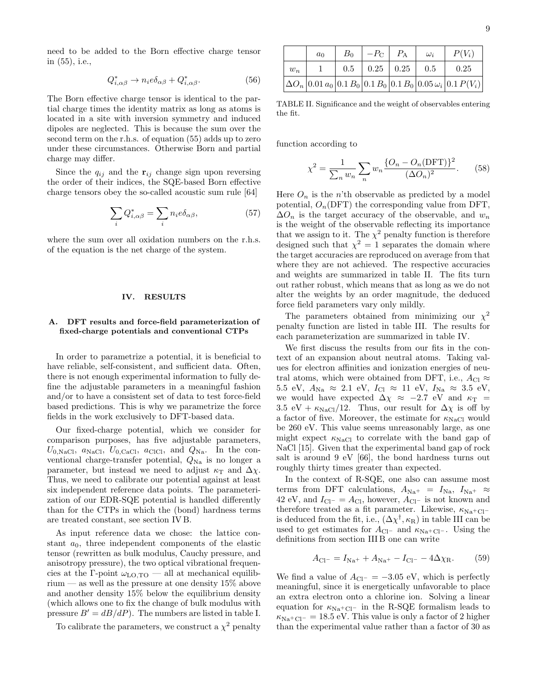need to be added to the Born effective charge tensor in (55), i.e.,

$$
Q_{i,\alpha\beta}^* \to n_i e \delta_{\alpha\beta} + Q_{i,\alpha\beta}^*.
$$
 (56)

The Born effective charge tensor is identical to the partial charge times the identity matrix as long as atoms is located in a site with inversion symmetry and induced dipoles are neglected. This is because the sum over the second term on the r.h.s. of equation (55) adds up to zero under these circumstances. Otherwise Born and partial charge may differ.

Since the  $q_{ij}$  and the  $r_{ij}$  change sign upon reversing the order of their indices, the SQE-based Born effective charge tensors obey the so-called acoustic sum rule [64]

$$
\sum_{i} Q_{i,\alpha\beta}^{*} = \sum_{i} n_{i} e \delta_{\alpha\beta},
$$
\n(57)

where the sum over all oxidation numbers on the r.h.s. of the equation is the net charge of the system.

### IV. RESULTS

## A. DFT results and force-field parameterization of fixed-charge potentials and conventional CTPs

In order to parametrize a potential, it is beneficial to have reliable, self-consistent, and sufficient data. Often, there is not enough experimental information to fully define the adjustable parameters in a meaningful fashion and/or to have a consistent set of data to test force-field based predictions. This is why we parametrize the force fields in the work exclusively to DFT-based data.

Our fixed-charge potential, which we consider for comparison purposes, has five adjustable parameters,  $U_{0,\text{NaCl}}, a_{\text{NaCl}}, U_{0,\text{CaCl}}, a_{\text{ClCl}}, \text{and } Q_{\text{Na}}.$  In the conventional charge-transfer potential,  $Q_{\text{Na}}$  is no longer a parameter, but instead we need to adjust  $\kappa_T$  and  $\Delta \chi$ . Thus, we need to calibrate our potential against at least six independent reference data points. The parameterization of our EDR-SQE potential is handled differently than for the CTPs in which the (bond) hardness terms are treated constant, see section IV B.

As input reference data we chose: the lattice constant  $a_0$ , three independent components of the elastic tensor (rewritten as bulk modulus, Cauchy pressure, and anisotropy pressure), the two optical vibrational frequencies at the Γ-point  $\omega_{\text{LO,TO}}$  — all at mechanical equilibrium — as well as the pressure at one density  $15\%$  above and another density 15% below the equilibrium density (which allows one to fix the change of bulk modulus with pressure  $B' = dB/dP$ . The numbers are listed in table I.

To calibrate the parameters, we construct a  $\chi^2$  penalty

|       | $a_0$ | $B_0$ | $-P_{\rm C}$   $P_{\rm A}$      | $\omega_i$ | $P(V_i)$                                                                                                                           |
|-------|-------|-------|---------------------------------|------------|------------------------------------------------------------------------------------------------------------------------------------|
| $w_n$ |       |       | $0.5$   $0.25$   $0.25$   $0.5$ |            | 0.25                                                                                                                               |
|       |       |       |                                 |            | $\left  \Delta O_n \right  0.01 a_0 \left  0.1 B_0 \right  0.1 B_0 \left  0.1 B_0 \right  0.05 \omega_i \left  0.1 P(V_i) \right $ |

TABLE II. Significance and the weight of observables entering the fit.

function according to

$$
\chi^2 = \frac{1}{\sum_n w_n} \sum_n w_n \frac{\{O_n - O_n(\text{DFT})\}^2}{(\Delta O_n)^2}.
$$
 (58)

Here  $O_n$  is the *n*'th observable as predicted by a model potential,  $O_n(DFT)$  the corresponding value from DFT,  $\Delta O_n$  is the target accuracy of the observable, and  $w_n$ is the weight of the observable reflecting its importance that we assign to it. The  $\chi^2$  penalty function is therefore designed such that  $\chi^2 = 1$  separates the domain where the target accuracies are reproduced on average from that where they are not achieved. The respective accuracies and weights are summarized in table II. The fits turn out rather robust, which means that as long as we do not alter the weights by an order magnitude, the deduced force field parameters vary only mildly.

The parameters obtained from minimizing our  $\chi^2$ penalty function are listed in table III. The results for each parameterization are summarized in table IV.

We first discuss the results from our fits in the context of an expansion about neutral atoms. Taking values for electron affinities and ionization energies of neutral atoms, which were obtained from DFT, i.e.,  $A_{\text{Cl}} \approx$ 5.5 eV,  $A_{\text{Na}} \approx 2.1$  eV,  $I_{\text{Cl}} \approx 11$  eV,  $I_{\text{Na}} \approx 3.5$  eV, we would have expected  $\Delta \chi \approx -2.7$  eV and  $\kappa_T$  = 3.5 eV +  $\kappa_{\text{NaCl}}/12$ . Thus, our result for  $\Delta \chi$  is off by a factor of five. Moreover, the estimate for  $\kappa_{\text{NaCl}}$  would be 260 eV. This value seems unreasonably large, as one might expect  $\kappa_{\text{NaCl}}$  to correlate with the band gap of NaCl [15]. Given that the experimental band gap of rock salt is around 9 eV [66], the bond hardness turns out roughly thirty times greater than expected.

In the context of R-SQE, one also can assume most terms from DFT calculations,  $A_{\text{Na}^+} = I_{\text{Na}}$ ,  $I_{\text{Na}^+} \approx$ 42 eV, and  $I_{Cl}$ − =  $A_{Cl}$ , however,  $A_{Cl}$ − is not known and therefore treated as a fit parameter. Likewise,  $\kappa_{\text{Na}^+C}$ is deduced from the fit, i.e.,  $(\Delta \chi^{\dagger}, \kappa_{\text{R}})$  in table III can be used to get estimates for  $A_{Cl}$ − and  $\kappa_{Na}$ + $_{Cl}$ −. Using the definitions from section III B one can write

$$
A_{\rm Cl^{-}} = I_{\rm Na^{+}} + A_{\rm Na^{+}} - I_{\rm Cl^{-}} - 4\Delta \chi_{\rm R}.
$$
 (59)

We find a value of  $A_{Cl}$ − = −3.05 eV, which is perfectly meaningful, since it is energetically unfavorable to place an extra electron onto a chlorine ion. Solving a linear equation for  $\kappa_{\text{Na}^+\text{Cl}^-}$  in the R-SQE formalism leads to  $\kappa_{\text{Na}^+\text{Cl}^-} = 18.5 \text{ eV}$ . This value is only a factor of 2 higher than the experimental value rather than a factor of 30 as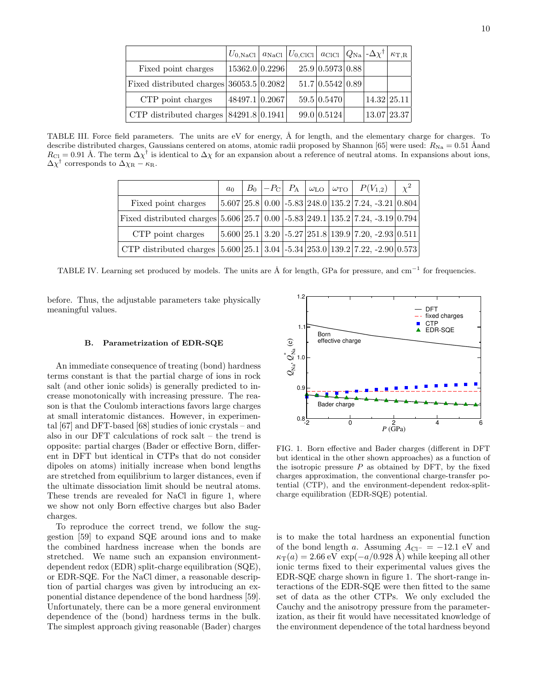|                                          | $ U_{0,\text{NaCl}} $ $a_{\text{NaCl}} U_{0,\text{ClCl}} $ $a_{\text{ClCl}} Q_{\text{Na}} -\Delta\chi^{\dagger} \kappa_{\text{T,R}}$ |  |                  |             |  |
|------------------------------------------|--------------------------------------------------------------------------------------------------------------------------------------|--|------------------|-------------|--|
| Fixed point charges                      | 15362.0 0.2296                                                                                                                       |  | 25.9 0.5973 0.88 |             |  |
| Fixed distributed charges 36053.5 0.2082 |                                                                                                                                      |  | 51.7 0.5542 0.89 |             |  |
| CTP point charges                        | 48497.1 0.2067                                                                                                                       |  | 59.5 0.5470      | 14.32 25.11 |  |
| CTP distributed charges                  | 84291.8 0.1941                                                                                                                       |  | 99.0 0.5124      | 13.07 23.37 |  |

TABLE III. Force field parameters. The units are eV for energy,  $\AA$  for length, and the elementary charge for charges. To describe distributed charges, Gaussians centered on atoms, atomic radii proposed by Shannon [65] were used:  $R_{\text{Na}} = 0.51$  Åand  $R_{\text{Cl}} = 0.91 \text{ Å}$ . The term  $\Delta \chi^{\dagger}$  is identical to  $\Delta \chi$  for an expansion about a reference of neutral atoms. In expansions about ions,  $\Delta \chi^{\dagger}$  corresponds to  $\Delta \chi_{\rm R} - \kappa_{\rm R}$ .

|                                                                                     |  |  |  | $a_0$   $B_0$   $-P_{\rm C}$   $P_{\rm A}$   $\omega_{\rm LO}$   $\omega_{\rm TO}$   $P(V_{1,2})$   $\chi^2$ |  |
|-------------------------------------------------------------------------------------|--|--|--|--------------------------------------------------------------------------------------------------------------|--|
| Fixed point charges                                                                 |  |  |  | $ 5.607 25.8 0.00 $ - 5.83 $ 248.0 135.2 7.24, -3.21 0.804 $                                                 |  |
| Fixed distributed charges $ 5.606 25.7 0.00 $ -5.83 249.1 135.2 7.24, -3.19 0.794   |  |  |  |                                                                                                              |  |
| CTP point charges                                                                   |  |  |  | $\left 5.600\right 25.1\right 3.20\left 5.27\right 251.8\left 139.9\right 7.20, -2.93\left 0.511\right $     |  |
| CTP distributed charges $ 5.600 25.1 3.04 $ -5.34 $ 253.0 139.2 7.22, -2.90 0.573 $ |  |  |  |                                                                                                              |  |

TABLE IV. Learning set produced by models. The units are Å for length, GPa for pressure, and  $cm^{-1}$  for frequencies.

before. Thus, the adjustable parameters take physically meaningful values.

#### B. Parametrization of EDR-SQE

An immediate consequence of treating (bond) hardness terms constant is that the partial charge of ions in rock salt (and other ionic solids) is generally predicted to increase monotonically with increasing pressure. The reason is that the Coulomb interactions favors large charges at small interatomic distances. However, in experimental [67] and DFT-based [68] studies of ionic crystals – and also in our DFT calculations of rock salt – the trend is opposite: partial charges (Bader or effective Born, different in DFT but identical in CTPs that do not consider dipoles on atoms) initially increase when bond lengths are stretched from equilibrium to larger distances, even if the ultimate dissociation limit should be neutral atoms. These trends are revealed for NaCl in figure 1, where we show not only Born effective charges but also Bader charges.

To reproduce the correct trend, we follow the suggestion [59] to expand SQE around ions and to make the combined hardness increase when the bonds are stretched. We name such an expansion environmentdependent redox (EDR) split-charge equilibration (SQE), or EDR-SQE. For the NaCl dimer, a reasonable description of partial charges was given by introducing an exponential distance dependence of the bond hardness [59]. Unfortunately, there can be a more general environment dependence of the (bond) hardness terms in the bulk. The simplest approach giving reasonable (Bader) charges



FIG. 1. Born effective and Bader charges (different in DFT but identical in the other shown approaches) as a function of the isotropic pressure  $P$  as obtained by DFT, by the fixed charges approximation, the conventional charge-transfer potential (CTP), and the environment-dependent redox-splitcharge equilibration (EDR-SQE) potential.

is to make the total hardness an exponential function of the bond length a. Assuming  $A_{Cl}$ - = −12.1 eV and  $\kappa_T(a) = 2.66 \text{ eV} \exp(-a/0.928 \text{ Å})$  while keeping all other ionic terms fixed to their experimental values gives the EDR-SQE charge shown in figure 1. The short-range interactions of the EDR-SQE were then fitted to the same set of data as the other CTPs. We only excluded the Cauchy and the anisotropy pressure from the parameterization, as their fit would have necessitated knowledge of the environment dependence of the total hardness beyond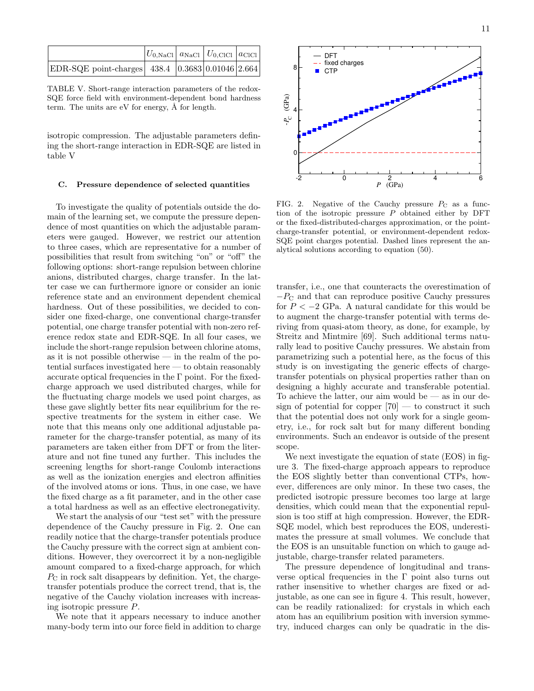| . . |  |
|-----|--|
|     |  |

|                                                         |  | $ U_{0,\text{NaCl}} $ $a_{\text{NaCl}} $ $U_{0,\text{ClCl}} $ $a_{\text{ClCl}} $ |  |
|---------------------------------------------------------|--|----------------------------------------------------------------------------------|--|
| $ EDR-SQE$ point-charges 438.4 $ 0.3683 0.01046 2.664 $ |  |                                                                                  |  |

TABLE V. Short-range interaction parameters of the redox-SQE force field with environment-dependent bond hardness term. The units are  $eV$  for energy,  $\Lambda$  for length.

isotropic compression. The adjustable parameters defining the short-range interaction in EDR-SQE are listed in table V

#### C. Pressure dependence of selected quantities

To investigate the quality of potentials outside the domain of the learning set, we compute the pressure dependence of most quantities on which the adjustable parameters were gauged. However, we restrict our attention to three cases, which are representative for a number of possibilities that result from switching "on" or "off" the following options: short-range repulsion between chlorine anions, distributed charges, charge transfer. In the latter case we can furthermore ignore or consider an ionic reference state and an environment dependent chemical hardness. Out of these possibilities, we decided to consider one fixed-charge, one conventional charge-transfer potential, one charge transfer potential with non-zero reference redox state and EDR-SQE. In all four cases, we include the short-range repulsion between chlorine atoms, as it is not possible otherwise — in the realm of the potential surfaces investigated here — to obtain reasonably accurate optical frequencies in the Γ point. For the fixedcharge approach we used distributed charges, while for the fluctuating charge models we used point charges, as these gave slightly better fits near equilibrium for the respective treatments for the system in either case. We note that this means only one additional adjustable parameter for the charge-transfer potential, as many of its parameters are taken either from DFT or from the literature and not fine tuned any further. This includes the screening lengths for short-range Coulomb interactions as well as the ionization energies and electron affinities of the involved atoms or ions. Thus, in one case, we have the fixed charge as a fit parameter, and in the other case a total hardness as well as an effective electronegativity.

We start the analysis of our "test set" with the pressure dependence of the Cauchy pressure in Fig. 2. One can readily notice that the charge-transfer potentials produce the Cauchy pressure with the correct sign at ambient conditions. However, they overcorrect it by a non-negligible amount compared to a fixed-charge approach, for which  $P_{\rm C}$  in rock salt disappears by definition. Yet, the chargetransfer potentials produce the correct trend, that is, the negative of the Cauchy violation increases with increasing isotropic pressure P.

We note that it appears necessary to induce another many-body term into our force field in addition to charge



FIG. 2. Negative of the Cauchy pressure  $P_{\rm C}$  as a function of the isotropic pressure P obtained either by DFT or the fixed-distributed-charges approximation, or the pointcharge-transfer potential, or environment-dependent redox-SQE point charges potential. Dashed lines represent the analytical solutions according to equation (50).

transfer, i.e., one that counteracts the overestimation of  $-P_{\rm C}$  and that can reproduce positive Cauchy pressures for  $P < -2$  GPa. A natural candidate for this would be to augment the charge-transfer potential with terms deriving from quasi-atom theory, as done, for example, by Streitz and Mintmire [69]. Such additional terms naturally lead to positive Cauchy pressures. We abstain from parametrizing such a potential here, as the focus of this study is on investigating the generic effects of chargetransfer potentials on physical properties rather than on designing a highly accurate and transferable potential. To achieve the latter, our aim would be  $-$  as in our design of potential for copper  $[70]$  — to construct it such that the potential does not only work for a single geometry, i.e., for rock salt but for many different bonding environments. Such an endeavor is outside of the present scope.

We next investigate the equation of state (EOS) in figure 3. The fixed-charge approach appears to reproduce the EOS slightly better than conventional CTPs, however, differences are only minor. In these two cases, the predicted isotropic pressure becomes too large at large densities, which could mean that the exponential repulsion is too stiff at high compression. However, the EDR-SQE model, which best reproduces the EOS, underestimates the pressure at small volumes. We conclude that the EOS is an unsuitable function on which to gauge adjustable, charge-transfer related parameters.

The pressure dependence of longitudinal and transverse optical frequencies in the  $\Gamma$  point also turns out rather insensitive to whether charges are fixed or adjustable, as one can see in figure 4. This result, however, can be readily rationalized: for crystals in which each atom has an equilibrium position with inversion symmetry, induced charges can only be quadratic in the dis-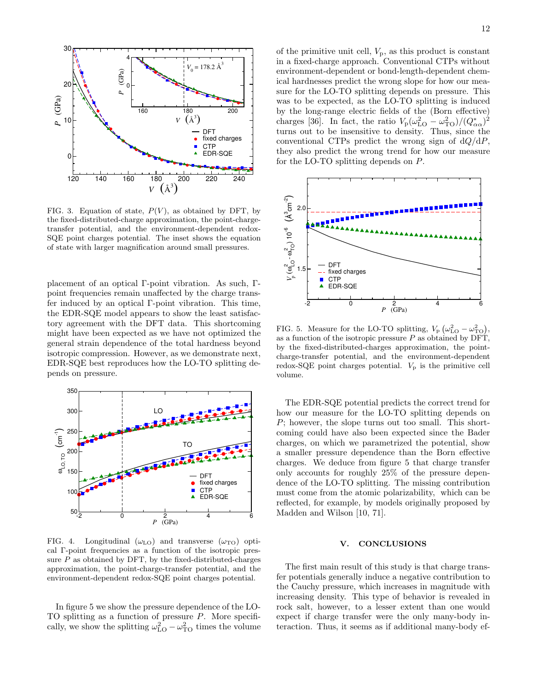

FIG. 3. Equation of state,  $P(V)$ , as obtained by DFT, by the fixed-distributed-charge approximation, the point-chargetransfer potential, and the environment-dependent redox-SQE point charges potential. The inset shows the equation of state with larger magnification around small pressures.

placement of an optical Γ-point vibration. As such, Γpoint frequencies remain unaffected by the charge transfer induced by an optical Γ-point vibration. This time, the EDR-SQE model appears to show the least satisfactory agreement with the DFT data. This shortcoming might have been expected as we have not optimized the general strain dependence of the total hardness beyond isotropic compression. However, as we demonstrate next, EDR-SQE best reproduces how the LO-TO splitting depends on pressure.



FIG. 4. Longitudinal  $(\omega_{LO})$  and transverse  $(\omega_{TO})$  optical Γ-point frequencies as a function of the isotropic pressure  $P$  as obtained by DFT, by the fixed-distributed-charges approximation, the point-charge-transfer potential, and the environment-dependent redox-SQE point charges potential.

In figure 5 we show the pressure dependence of the LO-TO splitting as a function of pressure P. More specifically, we show the splitting  $\omega_{LO}^2 - \omega_{TO}^2$  times the volume

of the primitive unit cell,  $V_p$ , as this product is constant in a fixed-charge approach. Conventional CTPs without environment-dependent or bond-length-dependent chemical hardnesses predict the wrong slope for how our measure for the LO-TO splitting depends on pressure. This was to be expected, as the LO-TO splitting is induced by the long-range electric fields of the (Born effective) charges [36]. In fact, the ratio  $V_{\rm p}(\omega_{\rm LO}^2 - \omega_{\rm TO}^2)/(Q_{\alpha\alpha}^*)^2$ turns out to be insensitive to density. Thus, since the conventional CTPs predict the wrong sign of  $dQ/dP$ , they also predict the wrong trend for how our measure for the LO-TO splitting depends on P.



FIG. 5. Measure for the LO-TO splitting,  $V_{\rm p} \left(\omega_{\rm LO}^2 - \omega_{\rm TO}^2\right)$ , as a function of the isotropic pressure  $P$  as obtained by DFT, by the fixed-distributed-charges approximation, the pointcharge-transfer potential, and the environment-dependent redox-SQE point charges potential.  $V_p$  is the primitive cell volume.

The EDR-SQE potential predicts the correct trend for how our measure for the LO-TO splitting depends on P; however, the slope turns out too small. This shortcoming could have also been expected since the Bader charges, on which we parametrized the potential, show a smaller pressure dependence than the Born effective charges. We deduce from figure 5 that charge transfer only accounts for roughly 25% of the pressure dependence of the LO-TO splitting. The missing contribution must come from the atomic polarizability, which can be reflected, for example, by models originally proposed by Madden and Wilson [10, 71].

### V. CONCLUSIONS

The first main result of this study is that charge transfer potentials generally induce a negative contribution to the Cauchy pressure, which increases in magnitude with increasing density. This type of behavior is revealed in rock salt, however, to a lesser extent than one would expect if charge transfer were the only many-body interaction. Thus, it seems as if additional many-body ef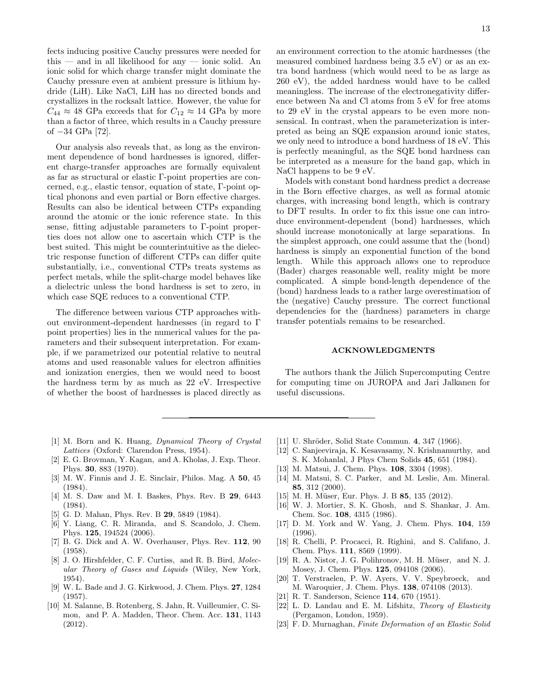fects inducing positive Cauchy pressures were needed for this — and in all likelihood for any — ionic solid. An ionic solid for which charge transfer might dominate the Cauchy pressure even at ambient pressure is lithium hydride (LiH). Like NaCl, LiH has no directed bonds and crystallizes in the rocksalt lattice. However, the value for  $C_{44} \approx 48$  GPa exceeds that for  $C_{12} \approx 14$  GPa by more than a factor of three, which results in a Cauchy pressure of −34 GPa [72].

Our analysis also reveals that, as long as the environment dependence of bond hardnesses is ignored, different charge-transfer approaches are formally equivalent as far as structural or elastic Γ-point properties are concerned, e.g., elastic tensor, equation of state, Γ-point optical phonons and even partial or Born effective charges. Results can also be identical between CTPs expanding around the atomic or the ionic reference state. In this sense, fitting adjustable parameters to Γ-point properties does not allow one to ascertain which CTP is the best suited. This might be counterintuitive as the dielectric response function of different CTPs can differ quite substantially, i.e., conventional CTPs treats systems as perfect metals, while the split-charge model behaves like a dielectric unless the bond hardness is set to zero, in which case SQE reduces to a conventional CTP.

The difference between various CTP approaches without environment-dependent hardnesses (in regard to Γ point properties) lies in the numerical values for the parameters and their subsequent interpretation. For example, if we parametrized our potential relative to neutral atoms and used reasonable values for electron affinities and ionization energies, then we would need to boost the hardness term by as much as 22 eV. Irrespective of whether the boost of hardnesses is placed directly as an environment correction to the atomic hardnesses (the measured combined hardness being 3.5 eV) or as an extra bond hardness (which would need to be as large as 260 eV), the added hardness would have to be called meaningless. The increase of the electronegativity difference between Na and Cl atoms from 5 eV for free atoms to 29 eV in the crystal appears to be even more nonsensical. In contrast, when the parameterization is interpreted as being an SQE expansion around ionic states, we only need to introduce a bond hardness of 18 eV. This is perfectly meaningful, as the SQE bond hardness can be interpreted as a measure for the band gap, which in NaCl happens to be 9 eV.

Models with constant bond hardness predict a decrease in the Born effective charges, as well as formal atomic charges, with increasing bond length, which is contrary to DFT results. In order to fix this issue one can introduce environment-dependent (bond) hardnesses, which should increase monotonically at large separations. In the simplest approach, one could assume that the (bond) hardness is simply an exponential function of the bond length. While this approach allows one to reproduce (Bader) charges reasonable well, reality might be more complicated. A simple bond-length dependence of the (bond) hardness leads to a rather large overestimation of the (negative) Cauchy pressure. The correct functional dependencies for the (hardness) parameters in charge transfer potentials remains to be researched.

# ACKNOWLEDGMENTS

The authors thank the Jülich Supercomputing Centre for computing time on JUROPA and Jari Jalkanen for useful discussions.

- [1] M. Born and K. Huang, Dynamical Theory of Crystal Lattices (Oxford: Clarendon Press, 1954).
- [2] E. G. Brovman, Y. Kagan, and A. Kholas, J. Exp. Theor. Phys. 30, 883 (1970).
- [3] M. W. Finnis and J. E. Sinclair, Philos. Mag. A 50, 45 (1984).
- [4] M. S. Daw and M. I. Baskes, Phys. Rev. B 29, 6443 (1984).
- [5] G. D. Mahan, Phys. Rev. B 29, 5849 (1984).
- [6] Y. Liang, C. R. Miranda, and S. Scandolo, J. Chem. Phys. 125, 194524 (2006).
- [7] B. G. Dick and A. W. Overhauser, Phys. Rev. 112, 90 (1958).
- [8] J. O. Hirshfelder, C. F. Curtiss, and R. B. Bird, Molecular Theory of Gases and Liquids (Wiley, New York, 1954).
- [9] W. L. Bade and J. G. Kirkwood, J. Chem. Phys. 27, 1284 (1957).
- [10] M. Salanne, B. Rotenberg, S. Jahn, R. Vuilleumier, C. Simon, and P. A. Madden, Theor. Chem. Acc. 131, 1143 (2012).
- [11] U. Shröder, Solid State Commun. 4, 347 (1966).
- [12] C. Sanjeeviraja, K. Kesavasamy, N. Krishnamurthy, and S. K. Mohanlal, J Phys Chem Solids 45, 651 (1984).
- [13] M. Matsui, J. Chem. Phys. **108**, 3304 (1998).
- [14] M. Matsui, S. C. Parker, and M. Leslie, Am. Mineral. 85, 312 (2000).
- [15] M. H. Müser, Eur. Phys. J. B 85, 135 (2012).
- [16] W. J. Mortier, S. K. Ghosh, and S. Shankar, J. Am. Chem. Soc. 108, 4315 (1986).
- [17] D. M. York and W. Yang, J. Chem. Phys. 104, 159 (1996).
- [18] R. Chelli, P. Procacci, R. Righini, and S. Califano, J. Chem. Phys. 111, 8569 (1999).
- [19] R. A. Nistor, J. G. Polihronov, M. H. Müser, and N. J. Mosey, J. Chem. Phys. 125, 094108 (2006).
- [20] T. Verstraelen, P. W. Ayers, V. V. Speybroeck, and M. Waroquier, J. Chem. Phys. 138, 074108 (2013).
- [21] R. T. Sanderson, Science 114, 670 (1951).
- [22] L. D. Landau and E. M. Lifshitz, Theory of Elasticity (Pergamon, London, 1959).
- [23] F. D. Murnaghan, Finite Deformation of an Elastic Solid